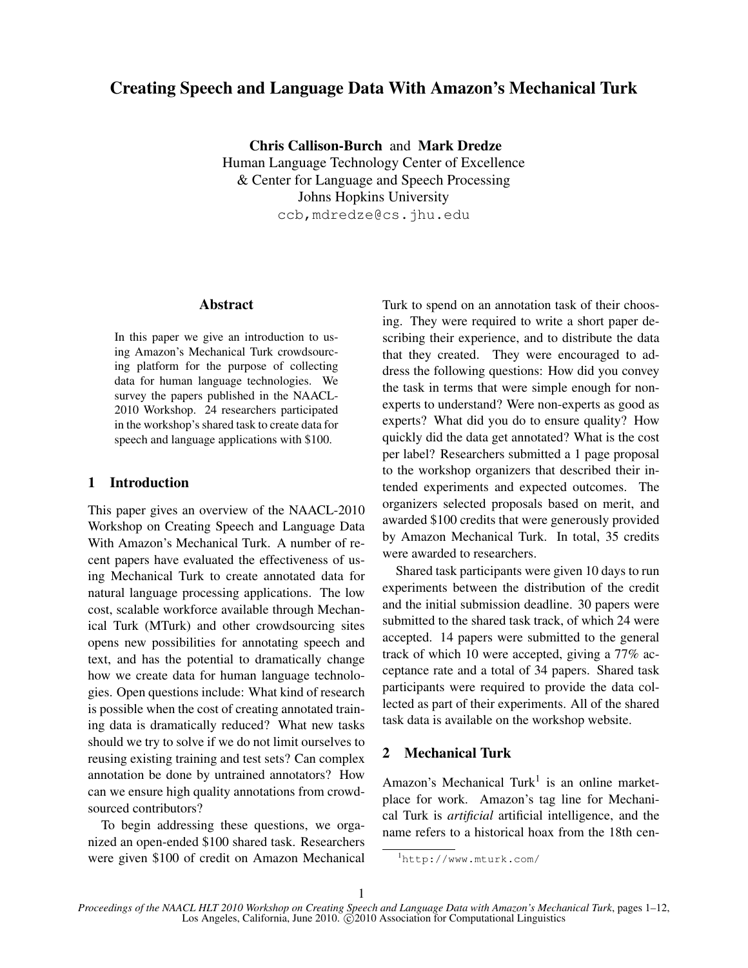# Creating Speech and Language Data With Amazon's Mechanical Turk

Chris Callison-Burch and Mark Dredze Human Language Technology Center of Excellence & Center for Language and Speech Processing Johns Hopkins University ccb,mdredze@cs.jhu.edu

## Abstract

In this paper we give an introduction to using Amazon's Mechanical Turk crowdsourcing platform for the purpose of collecting data for human language technologies. We survey the papers published in the NAACL-2010 Workshop. 24 researchers participated in the workshop's shared task to create data for speech and language applications with \$100.

## 1 Introduction

This paper gives an overview of the NAACL-2010 Workshop on Creating Speech and Language Data With Amazon's Mechanical Turk. A number of recent papers have evaluated the effectiveness of using Mechanical Turk to create annotated data for natural language processing applications. The low cost, scalable workforce available through Mechanical Turk (MTurk) and other crowdsourcing sites opens new possibilities for annotating speech and text, and has the potential to dramatically change how we create data for human language technologies. Open questions include: What kind of research is possible when the cost of creating annotated training data is dramatically reduced? What new tasks should we try to solve if we do not limit ourselves to reusing existing training and test sets? Can complex annotation be done by untrained annotators? How can we ensure high quality annotations from crowdsourced contributors?

To begin addressing these questions, we organized an open-ended \$100 shared task. Researchers were given \$100 of credit on Amazon Mechanical Turk to spend on an annotation task of their choosing. They were required to write a short paper describing their experience, and to distribute the data that they created. They were encouraged to address the following questions: How did you convey the task in terms that were simple enough for nonexperts to understand? Were non-experts as good as experts? What did you do to ensure quality? How quickly did the data get annotated? What is the cost per label? Researchers submitted a 1 page proposal to the workshop organizers that described their intended experiments and expected outcomes. The organizers selected proposals based on merit, and awarded \$100 credits that were generously provided by Amazon Mechanical Turk. In total, 35 credits were awarded to researchers.

Shared task participants were given 10 days to run experiments between the distribution of the credit and the initial submission deadline. 30 papers were submitted to the shared task track, of which 24 were accepted. 14 papers were submitted to the general track of which 10 were accepted, giving a 77% acceptance rate and a total of 34 papers. Shared task participants were required to provide the data collected as part of their experiments. All of the shared task data is available on the workshop website.

# 2 Mechanical Turk

Amazon's Mechanical Turk<sup>1</sup> is an online marketplace for work. Amazon's tag line for Mechanical Turk is *artificial* artificial intelligence, and the name refers to a historical hoax from the 18th cen-

<sup>1</sup>http://www.mturk.com/

*Proceedings of the NAACL HLT 2010 Workshop on Creating Speech and Language Data with Amazon's Mechanical Turk*, pages 1–12, Los Angeles, California, June 2010. C 2010 Association for Computational Linguistics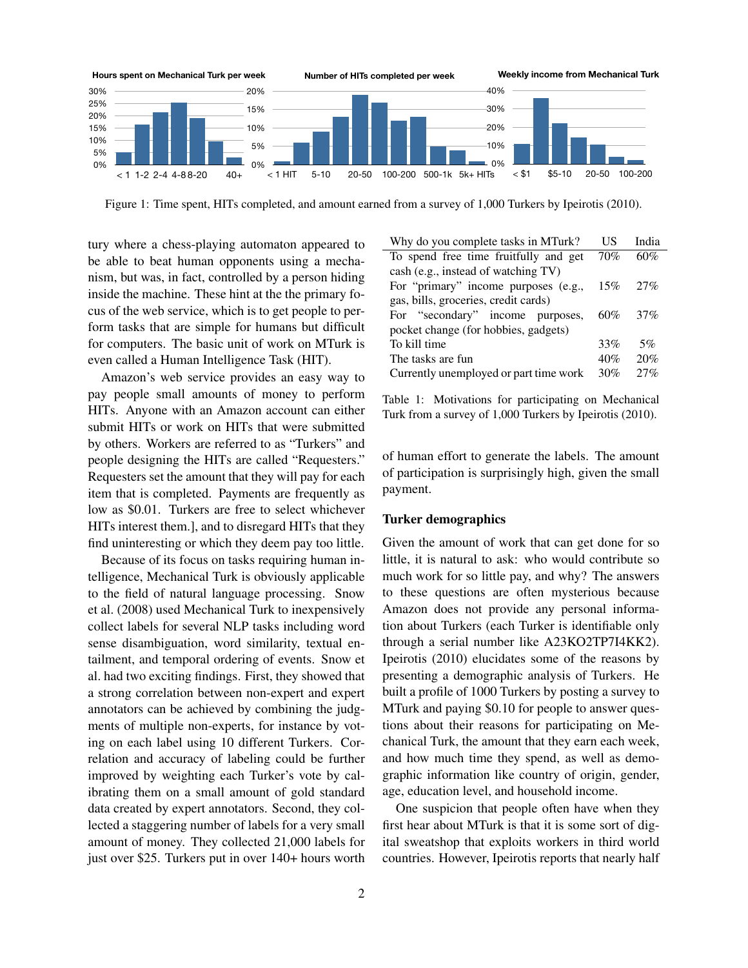

Figure 1: Time spent, HITs completed, and amount earned from a survey of 1,000 Turkers by Ipeirotis (2010).

tury where a chess-playing automaton appeared to be able to beat human opponents using a mechanism, but was, in fact, controlled by a person hiding inside the machine. These hint at the the primary focus of the web service, which is to get people to perform tasks that are simple for humans but difficult for computers. The basic unit of work on MTurk is even called a Human Intelligence Task (HIT).

Amazon's web service provides an easy way to pay people small amounts of money to perform HITs. Anyone with an Amazon account can either submit HITs or work on HITs that were submitted by others. Workers are referred to as "Turkers" and people designing the HITs are called "Requesters." Requesters set the amount that they will pay for each item that is completed. Payments are frequently as low as \$0.01. Turkers are free to select whichever HITs interest them.], and to disregard HITs that they find uninteresting or which they deem pay too little.

Because of its focus on tasks requiring human intelligence, Mechanical Turk is obviously applicable to the field of natural language processing. Snow et al. (2008) used Mechanical Turk to inexpensively collect labels for several NLP tasks including word sense disambiguation, word similarity, textual entailment, and temporal ordering of events. Snow et al. had two exciting findings. First, they showed that a strong correlation between non-expert and expert annotators can be achieved by combining the judgments of multiple non-experts, for instance by voting on each label using 10 different Turkers. Correlation and accuracy of labeling could be further improved by weighting each Turker's vote by calibrating them on a small amount of gold standard data created by expert annotators. Second, they collected a staggering number of labels for a very small amount of money. They collected 21,000 labels for just over \$25. Turkers put in over 140+ hours worth

| Why do you complete tasks in MTurk?    | US     | India |
|----------------------------------------|--------|-------|
| To spend free time fruitfully and get  | 70%    | 60%   |
| cash (e.g., instead of watching TV)    |        |       |
| For "primary" income purposes (e.g.,   | 15%    | 27%   |
| gas, bills, groceries, credit cards)   |        |       |
| For "secondary" income purposes,       | $60\%$ | 37%   |
| pocket change (for hobbies, gadgets)   |        |       |
| To kill time                           | 33%    | 5%    |
| The tasks are fun                      | 40%    | 20%   |
| Currently unemployed or part time work | 30%    | 27%   |

Table 1: Motivations for participating on Mechanical Turk from a survey of 1,000 Turkers by Ipeirotis (2010).

of human effort to generate the labels. The amount of participation is surprisingly high, given the small payment.

#### Turker demographics

Given the amount of work that can get done for so little, it is natural to ask: who would contribute so much work for so little pay, and why? The answers to these questions are often mysterious because Amazon does not provide any personal information about Turkers (each Turker is identifiable only through a serial number like A23KO2TP7I4KK2). Ipeirotis (2010) elucidates some of the reasons by presenting a demographic analysis of Turkers. He built a profile of 1000 Turkers by posting a survey to MTurk and paying \$0.10 for people to answer questions about their reasons for participating on Mechanical Turk, the amount that they earn each week, and how much time they spend, as well as demographic information like country of origin, gender, age, education level, and household income.

One suspicion that people often have when they first hear about MTurk is that it is some sort of digital sweatshop that exploits workers in third world countries. However, Ipeirotis reports that nearly half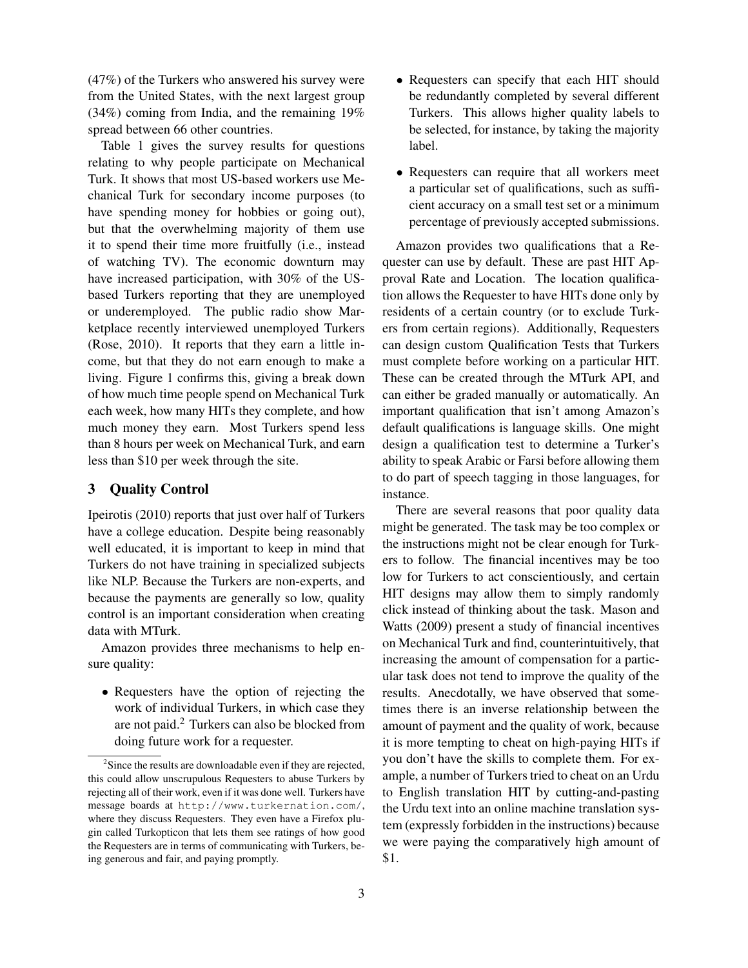(47%) of the Turkers who answered his survey were from the United States, with the next largest group (34%) coming from India, and the remaining 19% spread between 66 other countries.

Table 1 gives the survey results for questions relating to why people participate on Mechanical Turk. It shows that most US-based workers use Mechanical Turk for secondary income purposes (to have spending money for hobbies or going out), but that the overwhelming majority of them use it to spend their time more fruitfully (i.e., instead of watching TV). The economic downturn may have increased participation, with 30% of the USbased Turkers reporting that they are unemployed or underemployed. The public radio show Marketplace recently interviewed unemployed Turkers (Rose, 2010). It reports that they earn a little income, but that they do not earn enough to make a living. Figure 1 confirms this, giving a break down of how much time people spend on Mechanical Turk each week, how many HITs they complete, and how much money they earn. Most Turkers spend less than 8 hours per week on Mechanical Turk, and earn less than \$10 per week through the site.

# 3 Quality Control

Ipeirotis (2010) reports that just over half of Turkers have a college education. Despite being reasonably well educated, it is important to keep in mind that Turkers do not have training in specialized subjects like NLP. Because the Turkers are non-experts, and because the payments are generally so low, quality control is an important consideration when creating data with MTurk.

Amazon provides three mechanisms to help ensure quality:

• Requesters have the option of rejecting the work of individual Turkers, in which case they are not paid.<sup>2</sup> Turkers can also be blocked from doing future work for a requester.

- Requesters can specify that each HIT should be redundantly completed by several different Turkers. This allows higher quality labels to be selected, for instance, by taking the majority label.
- Requesters can require that all workers meet a particular set of qualifications, such as sufficient accuracy on a small test set or a minimum percentage of previously accepted submissions.

Amazon provides two qualifications that a Requester can use by default. These are past HIT Approval Rate and Location. The location qualification allows the Requester to have HITs done only by residents of a certain country (or to exclude Turkers from certain regions). Additionally, Requesters can design custom Qualification Tests that Turkers must complete before working on a particular HIT. These can be created through the MTurk API, and can either be graded manually or automatically. An important qualification that isn't among Amazon's default qualifications is language skills. One might design a qualification test to determine a Turker's ability to speak Arabic or Farsi before allowing them to do part of speech tagging in those languages, for instance.

There are several reasons that poor quality data might be generated. The task may be too complex or the instructions might not be clear enough for Turkers to follow. The financial incentives may be too low for Turkers to act conscientiously, and certain HIT designs may allow them to simply randomly click instead of thinking about the task. Mason and Watts (2009) present a study of financial incentives on Mechanical Turk and find, counterintuitively, that increasing the amount of compensation for a particular task does not tend to improve the quality of the results. Anecdotally, we have observed that sometimes there is an inverse relationship between the amount of payment and the quality of work, because it is more tempting to cheat on high-paying HITs if you don't have the skills to complete them. For example, a number of Turkers tried to cheat on an Urdu to English translation HIT by cutting-and-pasting the Urdu text into an online machine translation system (expressly forbidden in the instructions) because we were paying the comparatively high amount of \$1.

 $2^2$ Since the results are downloadable even if they are rejected, this could allow unscrupulous Requesters to abuse Turkers by rejecting all of their work, even if it was done well. Turkers have message boards at http://www.turkernation.com/, where they discuss Requesters. They even have a Firefox plugin called Turkopticon that lets them see ratings of how good the Requesters are in terms of communicating with Turkers, being generous and fair, and paying promptly.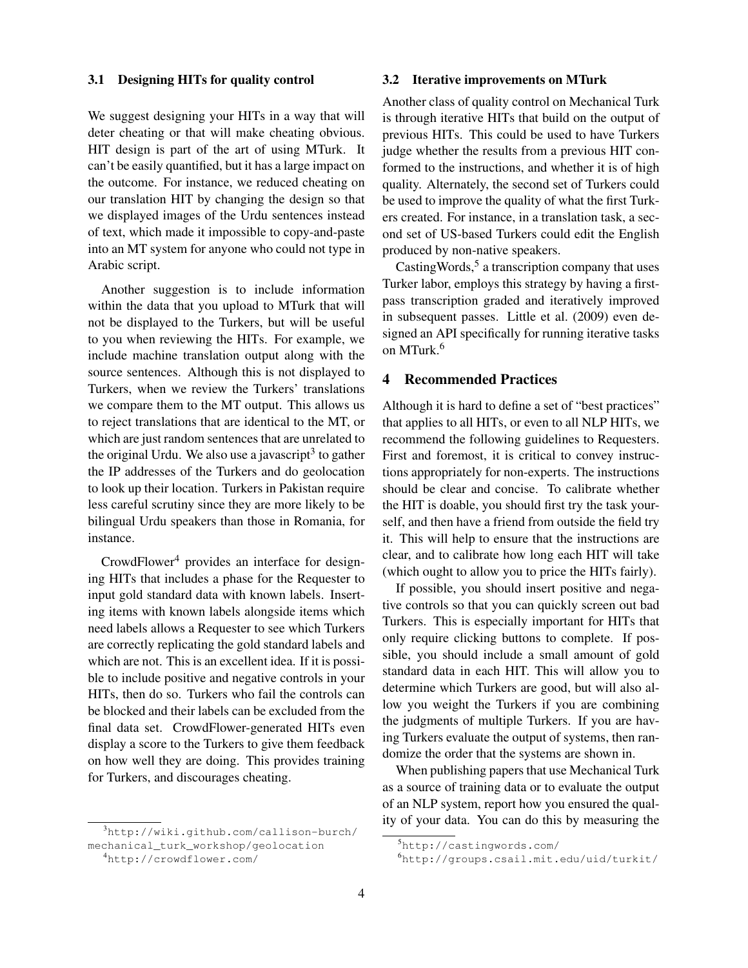## 3.1 Designing HITs for quality control

We suggest designing your HITs in a way that will deter cheating or that will make cheating obvious. HIT design is part of the art of using MTurk. It can't be easily quantified, but it has a large impact on the outcome. For instance, we reduced cheating on our translation HIT by changing the design so that we displayed images of the Urdu sentences instead of text, which made it impossible to copy-and-paste into an MT system for anyone who could not type in Arabic script.

Another suggestion is to include information within the data that you upload to MTurk that will not be displayed to the Turkers, but will be useful to you when reviewing the HITs. For example, we include machine translation output along with the source sentences. Although this is not displayed to Turkers, when we review the Turkers' translations we compare them to the MT output. This allows us to reject translations that are identical to the MT, or which are just random sentences that are unrelated to the original Urdu. We also use a javascript $3$  to gather the IP addresses of the Turkers and do geolocation to look up their location. Turkers in Pakistan require less careful scrutiny since they are more likely to be bilingual Urdu speakers than those in Romania, for instance.

 $CrowdFlower<sup>4</sup>$  provides an interface for designing HITs that includes a phase for the Requester to input gold standard data with known labels. Inserting items with known labels alongside items which need labels allows a Requester to see which Turkers are correctly replicating the gold standard labels and which are not. This is an excellent idea. If it is possible to include positive and negative controls in your HITs, then do so. Turkers who fail the controls can be blocked and their labels can be excluded from the final data set. CrowdFlower-generated HITs even display a score to the Turkers to give them feedback on how well they are doing. This provides training for Turkers, and discourages cheating.

<sup>3</sup>http://wiki.github.com/callison-burch/ mechanical\_turk\_workshop/geolocation

#### 3.2 Iterative improvements on MTurk

Another class of quality control on Mechanical Turk is through iterative HITs that build on the output of previous HITs. This could be used to have Turkers judge whether the results from a previous HIT conformed to the instructions, and whether it is of high quality. Alternately, the second set of Turkers could be used to improve the quality of what the first Turkers created. For instance, in a translation task, a second set of US-based Turkers could edit the English produced by non-native speakers.

Casting Words,<sup>5</sup> a transcription company that uses Turker labor, employs this strategy by having a firstpass transcription graded and iteratively improved in subsequent passes. Little et al. (2009) even designed an API specifically for running iterative tasks on MTurk.<sup>6</sup>

# 4 Recommended Practices

Although it is hard to define a set of "best practices" that applies to all HITs, or even to all NLP HITs, we recommend the following guidelines to Requesters. First and foremost, it is critical to convey instructions appropriately for non-experts. The instructions should be clear and concise. To calibrate whether the HIT is doable, you should first try the task yourself, and then have a friend from outside the field try it. This will help to ensure that the instructions are clear, and to calibrate how long each HIT will take (which ought to allow you to price the HITs fairly).

If possible, you should insert positive and negative controls so that you can quickly screen out bad Turkers. This is especially important for HITs that only require clicking buttons to complete. If possible, you should include a small amount of gold standard data in each HIT. This will allow you to determine which Turkers are good, but will also allow you weight the Turkers if you are combining the judgments of multiple Turkers. If you are having Turkers evaluate the output of systems, then randomize the order that the systems are shown in.

When publishing papers that use Mechanical Turk as a source of training data or to evaluate the output of an NLP system, report how you ensured the quality of your data. You can do this by measuring the

<sup>4</sup>http://crowdflower.com/

<sup>5</sup>http://castingwords.com/

<sup>6</sup>http://groups.csail.mit.edu/uid/turkit/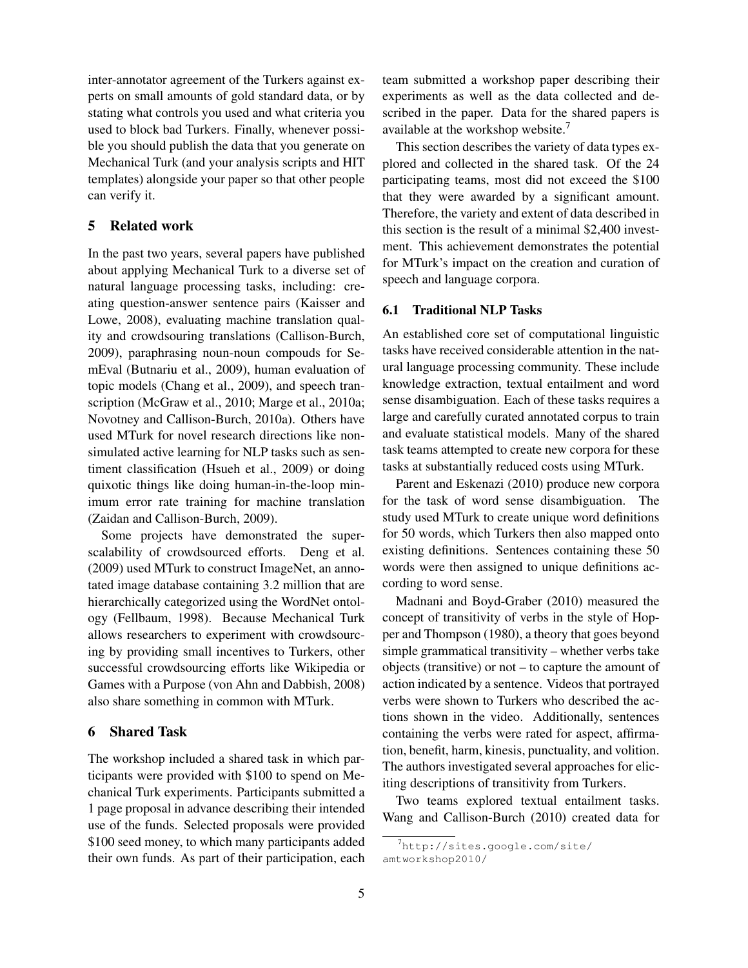inter-annotator agreement of the Turkers against experts on small amounts of gold standard data, or by stating what controls you used and what criteria you used to block bad Turkers. Finally, whenever possible you should publish the data that you generate on Mechanical Turk (and your analysis scripts and HIT templates) alongside your paper so that other people can verify it.

## 5 Related work

In the past two years, several papers have published about applying Mechanical Turk to a diverse set of natural language processing tasks, including: creating question-answer sentence pairs (Kaisser and Lowe, 2008), evaluating machine translation quality and crowdsouring translations (Callison-Burch, 2009), paraphrasing noun-noun compouds for SemEval (Butnariu et al., 2009), human evaluation of topic models (Chang et al., 2009), and speech transcription (McGraw et al., 2010; Marge et al., 2010a; Novotney and Callison-Burch, 2010a). Others have used MTurk for novel research directions like nonsimulated active learning for NLP tasks such as sentiment classification (Hsueh et al., 2009) or doing quixotic things like doing human-in-the-loop minimum error rate training for machine translation (Zaidan and Callison-Burch, 2009).

Some projects have demonstrated the superscalability of crowdsourced efforts. Deng et al. (2009) used MTurk to construct ImageNet, an annotated image database containing 3.2 million that are hierarchically categorized using the WordNet ontology (Fellbaum, 1998). Because Mechanical Turk allows researchers to experiment with crowdsourcing by providing small incentives to Turkers, other successful crowdsourcing efforts like Wikipedia or Games with a Purpose (von Ahn and Dabbish, 2008) also share something in common with MTurk.

## 6 Shared Task

The workshop included a shared task in which participants were provided with \$100 to spend on Mechanical Turk experiments. Participants submitted a 1 page proposal in advance describing their intended use of the funds. Selected proposals were provided \$100 seed money, to which many participants added their own funds. As part of their participation, each team submitted a workshop paper describing their experiments as well as the data collected and described in the paper. Data for the shared papers is available at the workshop website.<sup>7</sup>

This section describes the variety of data types explored and collected in the shared task. Of the 24 participating teams, most did not exceed the \$100 that they were awarded by a significant amount. Therefore, the variety and extent of data described in this section is the result of a minimal \$2,400 investment. This achievement demonstrates the potential for MTurk's impact on the creation and curation of speech and language corpora.

## 6.1 Traditional NLP Tasks

An established core set of computational linguistic tasks have received considerable attention in the natural language processing community. These include knowledge extraction, textual entailment and word sense disambiguation. Each of these tasks requires a large and carefully curated annotated corpus to train and evaluate statistical models. Many of the shared task teams attempted to create new corpora for these tasks at substantially reduced costs using MTurk.

Parent and Eskenazi (2010) produce new corpora for the task of word sense disambiguation. The study used MTurk to create unique word definitions for 50 words, which Turkers then also mapped onto existing definitions. Sentences containing these 50 words were then assigned to unique definitions according to word sense.

Madnani and Boyd-Graber (2010) measured the concept of transitivity of verbs in the style of Hopper and Thompson (1980), a theory that goes beyond simple grammatical transitivity – whether verbs take objects (transitive) or not – to capture the amount of action indicated by a sentence. Videos that portrayed verbs were shown to Turkers who described the actions shown in the video. Additionally, sentences containing the verbs were rated for aspect, affirmation, benefit, harm, kinesis, punctuality, and volition. The authors investigated several approaches for eliciting descriptions of transitivity from Turkers.

Two teams explored textual entailment tasks. Wang and Callison-Burch (2010) created data for

<sup>7</sup>http://sites.google.com/site/ amtworkshop2010/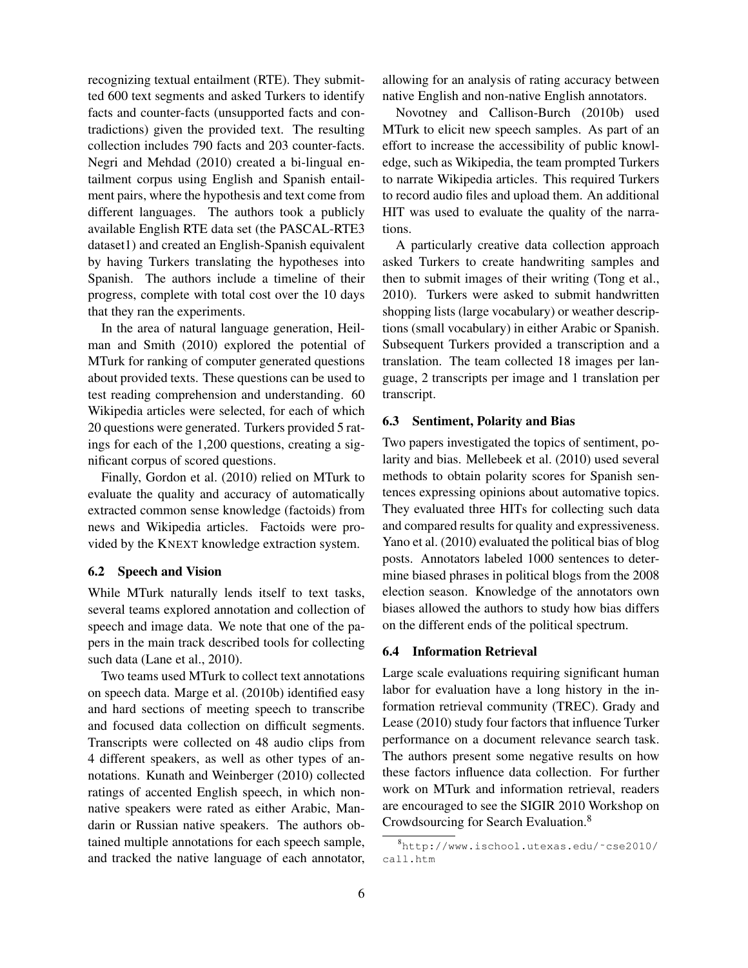recognizing textual entailment (RTE). They submitted 600 text segments and asked Turkers to identify facts and counter-facts (unsupported facts and contradictions) given the provided text. The resulting collection includes 790 facts and 203 counter-facts. Negri and Mehdad (2010) created a bi-lingual entailment corpus using English and Spanish entailment pairs, where the hypothesis and text come from different languages. The authors took a publicly available English RTE data set (the PASCAL-RTE3 dataset1) and created an English-Spanish equivalent by having Turkers translating the hypotheses into Spanish. The authors include a timeline of their progress, complete with total cost over the 10 days that they ran the experiments.

In the area of natural language generation, Heilman and Smith (2010) explored the potential of MTurk for ranking of computer generated questions about provided texts. These questions can be used to test reading comprehension and understanding. 60 Wikipedia articles were selected, for each of which 20 questions were generated. Turkers provided 5 ratings for each of the 1,200 questions, creating a significant corpus of scored questions.

Finally, Gordon et al. (2010) relied on MTurk to evaluate the quality and accuracy of automatically extracted common sense knowledge (factoids) from news and Wikipedia articles. Factoids were provided by the KNEXT knowledge extraction system.

## 6.2 Speech and Vision

While MTurk naturally lends itself to text tasks, several teams explored annotation and collection of speech and image data. We note that one of the papers in the main track described tools for collecting such data (Lane et al., 2010).

Two teams used MTurk to collect text annotations on speech data. Marge et al. (2010b) identified easy and hard sections of meeting speech to transcribe and focused data collection on difficult segments. Transcripts were collected on 48 audio clips from 4 different speakers, as well as other types of annotations. Kunath and Weinberger (2010) collected ratings of accented English speech, in which nonnative speakers were rated as either Arabic, Mandarin or Russian native speakers. The authors obtained multiple annotations for each speech sample, and tracked the native language of each annotator,

allowing for an analysis of rating accuracy between native English and non-native English annotators.

Novotney and Callison-Burch (2010b) used MTurk to elicit new speech samples. As part of an effort to increase the accessibility of public knowledge, such as Wikipedia, the team prompted Turkers to narrate Wikipedia articles. This required Turkers to record audio files and upload them. An additional HIT was used to evaluate the quality of the narrations.

A particularly creative data collection approach asked Turkers to create handwriting samples and then to submit images of their writing (Tong et al., 2010). Turkers were asked to submit handwritten shopping lists (large vocabulary) or weather descriptions (small vocabulary) in either Arabic or Spanish. Subsequent Turkers provided a transcription and a translation. The team collected 18 images per language, 2 transcripts per image and 1 translation per transcript.

#### 6.3 Sentiment, Polarity and Bias

Two papers investigated the topics of sentiment, polarity and bias. Mellebeek et al. (2010) used several methods to obtain polarity scores for Spanish sentences expressing opinions about automative topics. They evaluated three HITs for collecting such data and compared results for quality and expressiveness. Yano et al. (2010) evaluated the political bias of blog posts. Annotators labeled 1000 sentences to determine biased phrases in political blogs from the 2008 election season. Knowledge of the annotators own biases allowed the authors to study how bias differs on the different ends of the political spectrum.

#### 6.4 Information Retrieval

Large scale evaluations requiring significant human labor for evaluation have a long history in the information retrieval community (TREC). Grady and Lease (2010) study four factors that influence Turker performance on a document relevance search task. The authors present some negative results on how these factors influence data collection. For further work on MTurk and information retrieval, readers are encouraged to see the SIGIR 2010 Workshop on Crowdsourcing for Search Evaluation.<sup>8</sup>

<sup>8</sup>http://www.ischool.utexas.edu/˜cse2010/ call.htm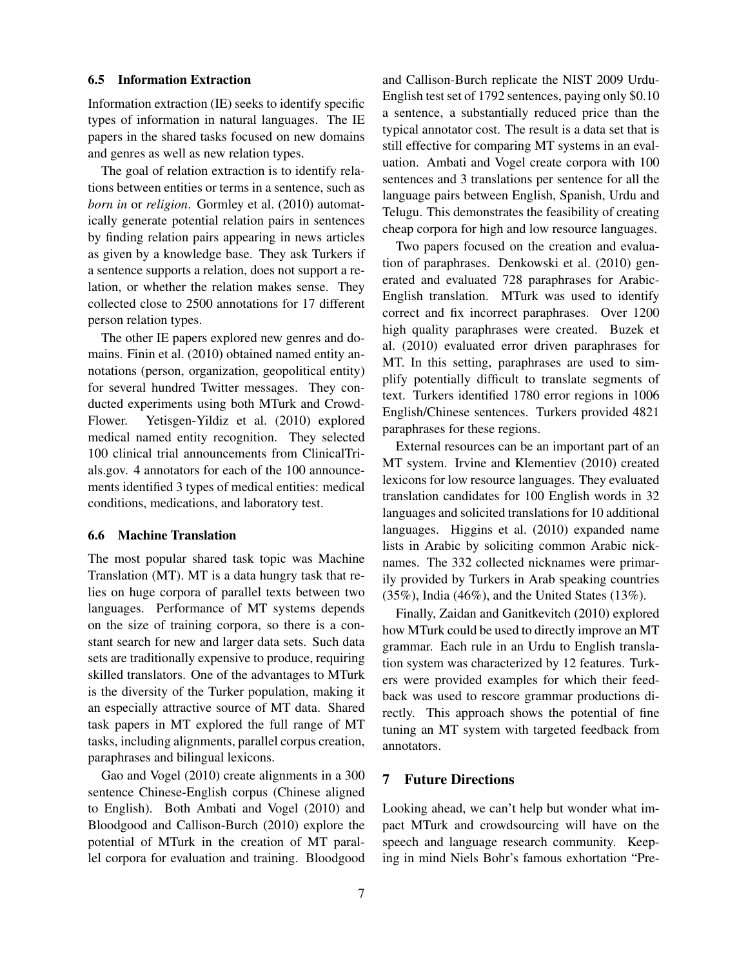#### 6.5 Information Extraction

Information extraction (IE) seeks to identify specific types of information in natural languages. The IE papers in the shared tasks focused on new domains and genres as well as new relation types.

The goal of relation extraction is to identify relations between entities or terms in a sentence, such as *born in* or *religion*. Gormley et al. (2010) automatically generate potential relation pairs in sentences by finding relation pairs appearing in news articles as given by a knowledge base. They ask Turkers if a sentence supports a relation, does not support a relation, or whether the relation makes sense. They collected close to 2500 annotations for 17 different person relation types.

The other IE papers explored new genres and domains. Finin et al. (2010) obtained named entity annotations (person, organization, geopolitical entity) for several hundred Twitter messages. They conducted experiments using both MTurk and Crowd-Flower. Yetisgen-Yildiz et al. (2010) explored medical named entity recognition. They selected 100 clinical trial announcements from ClinicalTrials.gov. 4 annotators for each of the 100 announcements identified 3 types of medical entities: medical conditions, medications, and laboratory test.

#### 6.6 Machine Translation

The most popular shared task topic was Machine Translation (MT). MT is a data hungry task that relies on huge corpora of parallel texts between two languages. Performance of MT systems depends on the size of training corpora, so there is a constant search for new and larger data sets. Such data sets are traditionally expensive to produce, requiring skilled translators. One of the advantages to MTurk is the diversity of the Turker population, making it an especially attractive source of MT data. Shared task papers in MT explored the full range of MT tasks, including alignments, parallel corpus creation, paraphrases and bilingual lexicons.

Gao and Vogel (2010) create alignments in a 300 sentence Chinese-English corpus (Chinese aligned to English). Both Ambati and Vogel (2010) and Bloodgood and Callison-Burch (2010) explore the potential of MTurk in the creation of MT parallel corpora for evaluation and training. Bloodgood and Callison-Burch replicate the NIST 2009 Urdu-English test set of 1792 sentences, paying only \$0.10 a sentence, a substantially reduced price than the typical annotator cost. The result is a data set that is still effective for comparing MT systems in an evaluation. Ambati and Vogel create corpora with 100 sentences and 3 translations per sentence for all the language pairs between English, Spanish, Urdu and Telugu. This demonstrates the feasibility of creating cheap corpora for high and low resource languages.

Two papers focused on the creation and evaluation of paraphrases. Denkowski et al. (2010) generated and evaluated 728 paraphrases for Arabic-English translation. MTurk was used to identify correct and fix incorrect paraphrases. Over 1200 high quality paraphrases were created. Buzek et al. (2010) evaluated error driven paraphrases for MT. In this setting, paraphrases are used to simplify potentially difficult to translate segments of text. Turkers identified 1780 error regions in 1006 English/Chinese sentences. Turkers provided 4821 paraphrases for these regions.

External resources can be an important part of an MT system. Irvine and Klementiev (2010) created lexicons for low resource languages. They evaluated translation candidates for 100 English words in 32 languages and solicited translations for 10 additional languages. Higgins et al. (2010) expanded name lists in Arabic by soliciting common Arabic nicknames. The 332 collected nicknames were primarily provided by Turkers in Arab speaking countries (35%), India (46%), and the United States (13%).

Finally, Zaidan and Ganitkevitch (2010) explored how MTurk could be used to directly improve an MT grammar. Each rule in an Urdu to English translation system was characterized by 12 features. Turkers were provided examples for which their feedback was used to rescore grammar productions directly. This approach shows the potential of fine tuning an MT system with targeted feedback from annotators.

# 7 Future Directions

Looking ahead, we can't help but wonder what impact MTurk and crowdsourcing will have on the speech and language research community. Keeping in mind Niels Bohr's famous exhortation "Pre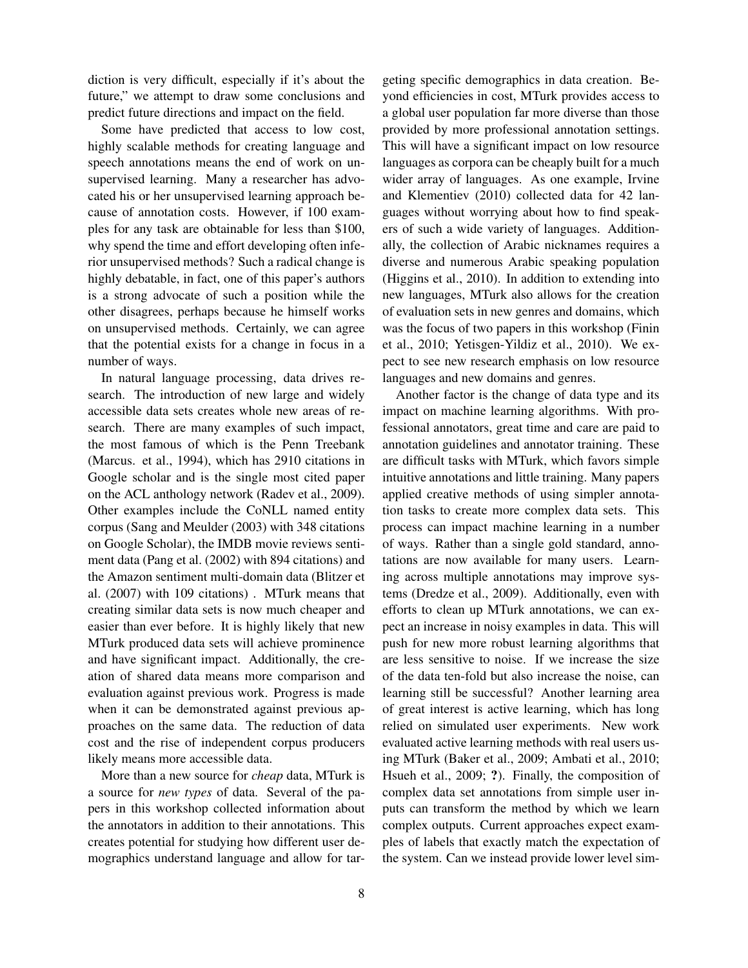diction is very difficult, especially if it's about the future," we attempt to draw some conclusions and predict future directions and impact on the field.

Some have predicted that access to low cost, highly scalable methods for creating language and speech annotations means the end of work on unsupervised learning. Many a researcher has advocated his or her unsupervised learning approach because of annotation costs. However, if 100 examples for any task are obtainable for less than \$100, why spend the time and effort developing often inferior unsupervised methods? Such a radical change is highly debatable, in fact, one of this paper's authors is a strong advocate of such a position while the other disagrees, perhaps because he himself works on unsupervised methods. Certainly, we can agree that the potential exists for a change in focus in a number of ways.

In natural language processing, data drives research. The introduction of new large and widely accessible data sets creates whole new areas of research. There are many examples of such impact, the most famous of which is the Penn Treebank (Marcus. et al., 1994), which has 2910 citations in Google scholar and is the single most cited paper on the ACL anthology network (Radev et al., 2009). Other examples include the CoNLL named entity corpus (Sang and Meulder (2003) with 348 citations on Google Scholar), the IMDB movie reviews sentiment data (Pang et al. (2002) with 894 citations) and the Amazon sentiment multi-domain data (Blitzer et al. (2007) with 109 citations) . MTurk means that creating similar data sets is now much cheaper and easier than ever before. It is highly likely that new MTurk produced data sets will achieve prominence and have significant impact. Additionally, the creation of shared data means more comparison and evaluation against previous work. Progress is made when it can be demonstrated against previous approaches on the same data. The reduction of data cost and the rise of independent corpus producers likely means more accessible data.

More than a new source for *cheap* data, MTurk is a source for *new types* of data. Several of the papers in this workshop collected information about the annotators in addition to their annotations. This creates potential for studying how different user demographics understand language and allow for targeting specific demographics in data creation. Beyond efficiencies in cost, MTurk provides access to a global user population far more diverse than those provided by more professional annotation settings. This will have a significant impact on low resource languages as corpora can be cheaply built for a much wider array of languages. As one example, Irvine and Klementiev (2010) collected data for 42 languages without worrying about how to find speakers of such a wide variety of languages. Additionally, the collection of Arabic nicknames requires a diverse and numerous Arabic speaking population (Higgins et al., 2010). In addition to extending into new languages, MTurk also allows for the creation of evaluation sets in new genres and domains, which was the focus of two papers in this workshop (Finin et al., 2010; Yetisgen-Yildiz et al., 2010). We expect to see new research emphasis on low resource languages and new domains and genres.

Another factor is the change of data type and its impact on machine learning algorithms. With professional annotators, great time and care are paid to annotation guidelines and annotator training. These are difficult tasks with MTurk, which favors simple intuitive annotations and little training. Many papers applied creative methods of using simpler annotation tasks to create more complex data sets. This process can impact machine learning in a number of ways. Rather than a single gold standard, annotations are now available for many users. Learning across multiple annotations may improve systems (Dredze et al., 2009). Additionally, even with efforts to clean up MTurk annotations, we can expect an increase in noisy examples in data. This will push for new more robust learning algorithms that are less sensitive to noise. If we increase the size of the data ten-fold but also increase the noise, can learning still be successful? Another learning area of great interest is active learning, which has long relied on simulated user experiments. New work evaluated active learning methods with real users using MTurk (Baker et al., 2009; Ambati et al., 2010; Hsueh et al., 2009; ?). Finally, the composition of complex data set annotations from simple user inputs can transform the method by which we learn complex outputs. Current approaches expect examples of labels that exactly match the expectation of the system. Can we instead provide lower level sim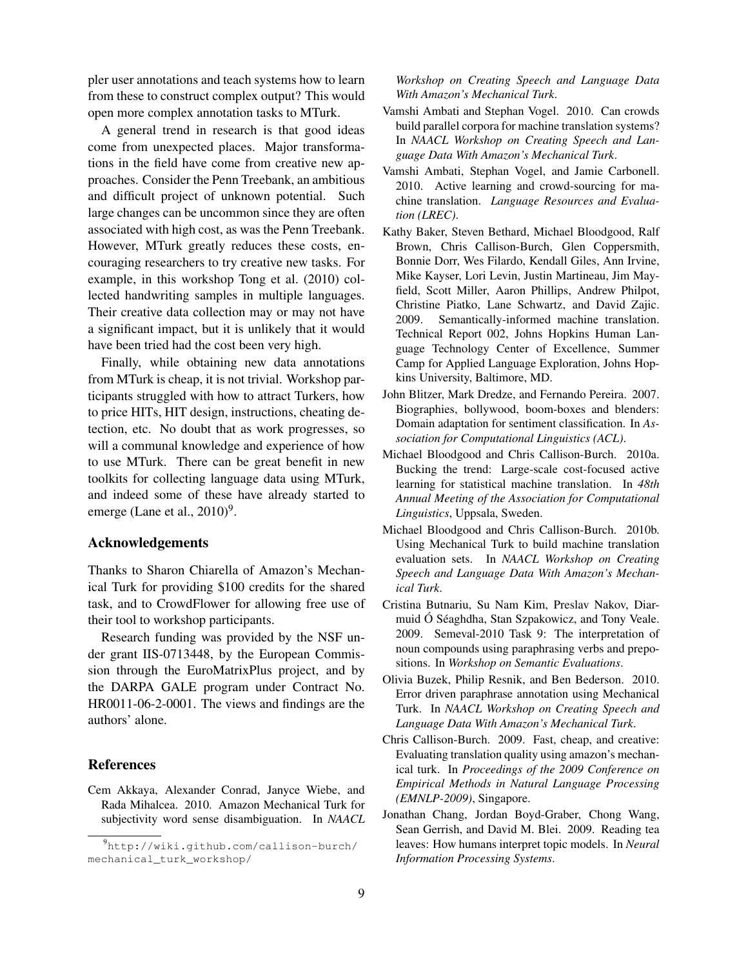pler user annotations and teach systems how to learn from these to construct complex output? This would open more complex annotation tasks to MTurk.

A general trend in research is that good ideas come from unexpected places. Major transformations in the field have come from creative new approaches. Consider the Penn Treebank, an ambitious and difficult project of unknown potential. Such large changes can be uncommon since they are often associated with high cost, as was the Penn Treebank. However, MTurk greatly reduces these costs, encouraging researchers to try creative new tasks. For example, in this workshop Tong et al. (2010) collected handwriting samples in multiple languages. Their creative data collection may or may not have a significant impact, but it is unlikely that it would have been tried had the cost been very high.

Finally, while obtaining new data annotations from MTurk is cheap, it is not trivial. Workshop participants struggled with how to attract Turkers, how to price HITs, HIT design, instructions, cheating detection, etc. No doubt that as work progresses, so will a communal knowledge and experience of how to use MTurk. There can be great benefit in new toolkits for collecting language data using MTurk, and indeed some of these have already started to emerge (Lane et al.,  $2010)^9$ .

#### Acknowledgements

Thanks to Sharon Chiarella of Amazon's Mechanical Turk for providing \$100 credits for the shared task, and to CrowdFlower for allowing free use of their tool to workshop participants.

Research funding was provided by the NSF under grant IIS-0713448, by the European Commission through the EuroMatrixPlus project, and by the DARPA GALE program under Contract No. HR0011-06-2-0001. The views and findings are the authors' alone.

## References

Cem Akkaya, Alexander Conrad, Janyce Wiebe, and Rada Mihalcea. 2010. Amazon Mechanical Turk for subjectivity word sense disambiguation. In *NAACL* *Workshop on Creating Speech and Language Data With Amazon's Mechanical Turk*.

- Vamshi Ambati and Stephan Vogel. 2010. Can crowds build parallel corpora for machine translation systems? In *NAACL Workshop on Creating Speech and Language Data With Amazon's Mechanical Turk*.
- Vamshi Ambati, Stephan Vogel, and Jamie Carbonell. 2010. Active learning and crowd-sourcing for machine translation. *Language Resources and Evaluation (LREC)*.
- Kathy Baker, Steven Bethard, Michael Bloodgood, Ralf Brown, Chris Callison-Burch, Glen Coppersmith, Bonnie Dorr, Wes Filardo, Kendall Giles, Ann Irvine, Mike Kayser, Lori Levin, Justin Martineau, Jim Mayfield, Scott Miller, Aaron Phillips, Andrew Philpot, Christine Piatko, Lane Schwartz, and David Zajic. 2009. Semantically-informed machine translation. Technical Report 002, Johns Hopkins Human Language Technology Center of Excellence, Summer Camp for Applied Language Exploration, Johns Hopkins University, Baltimore, MD.
- John Blitzer, Mark Dredze, and Fernando Pereira. 2007. Biographies, bollywood, boom-boxes and blenders: Domain adaptation for sentiment classification. In *Association for Computational Linguistics (ACL)*.
- Michael Bloodgood and Chris Callison-Burch. 2010a. Bucking the trend: Large-scale cost-focused active learning for statistical machine translation. In *48th Annual Meeting of the Association for Computational Linguistics*, Uppsala, Sweden.
- Michael Bloodgood and Chris Callison-Burch. 2010b. Using Mechanical Turk to build machine translation evaluation sets. In *NAACL Workshop on Creating Speech and Language Data With Amazon's Mechanical Turk*.
- Cristina Butnariu, Su Nam Kim, Preslav Nakov, Diarmuid Ó Séaghdha, Stan Szpakowicz, and Tony Veale. 2009. Semeval-2010 Task 9: The interpretation of noun compounds using paraphrasing verbs and prepositions. In *Workshop on Semantic Evaluations*.
- Olivia Buzek, Philip Resnik, and Ben Bederson. 2010. Error driven paraphrase annotation using Mechanical Turk. In *NAACL Workshop on Creating Speech and Language Data With Amazon's Mechanical Turk*.
- Chris Callison-Burch. 2009. Fast, cheap, and creative: Evaluating translation quality using amazon's mechanical turk. In *Proceedings of the 2009 Conference on Empirical Methods in Natural Language Processing (EMNLP-2009)*, Singapore.
- Jonathan Chang, Jordan Boyd-Graber, Chong Wang, Sean Gerrish, and David M. Blei. 2009. Reading tea leaves: How humans interpret topic models. In *Neural Information Processing Systems*.

<sup>9</sup>http://wiki.github.com/callison-burch/ mechanical\_turk\_workshop/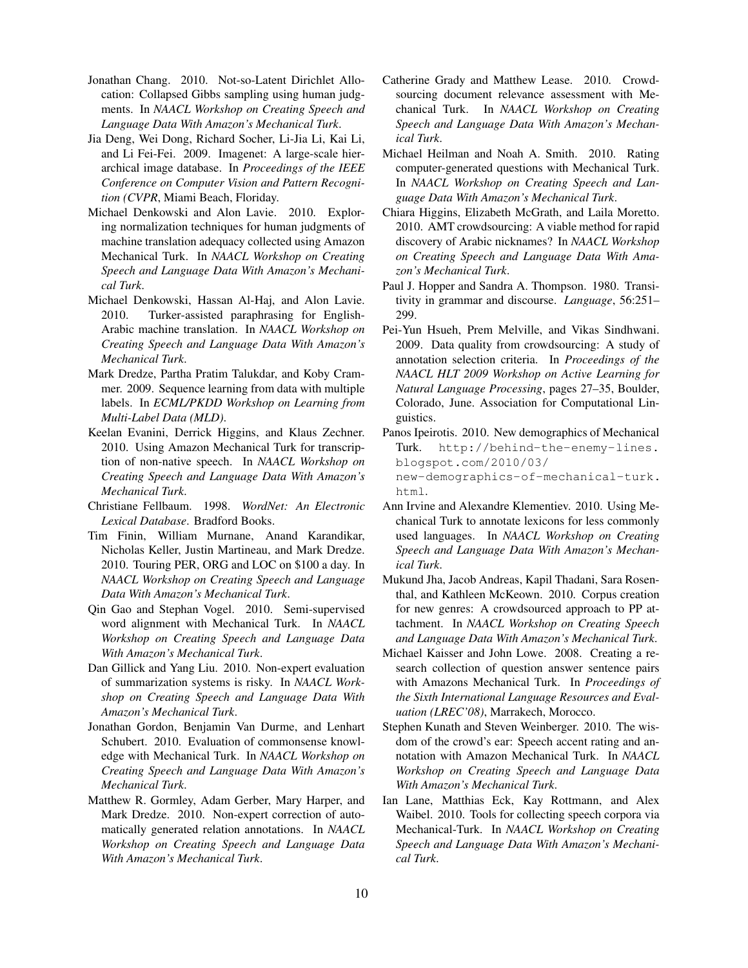- Jonathan Chang. 2010. Not-so-Latent Dirichlet Allocation: Collapsed Gibbs sampling using human judgments. In *NAACL Workshop on Creating Speech and Language Data With Amazon's Mechanical Turk*.
- Jia Deng, Wei Dong, Richard Socher, Li-Jia Li, Kai Li, and Li Fei-Fei. 2009. Imagenet: A large-scale hierarchical image database. In *Proceedings of the IEEE Conference on Computer Vision and Pattern Recognition (CVPR*, Miami Beach, Floriday.
- Michael Denkowski and Alon Lavie. 2010. Exploring normalization techniques for human judgments of machine translation adequacy collected using Amazon Mechanical Turk. In *NAACL Workshop on Creating Speech and Language Data With Amazon's Mechanical Turk*.
- Michael Denkowski, Hassan Al-Haj, and Alon Lavie. 2010. Turker-assisted paraphrasing for English-Arabic machine translation. In *NAACL Workshop on Creating Speech and Language Data With Amazon's Mechanical Turk*.
- Mark Dredze, Partha Pratim Talukdar, and Koby Crammer. 2009. Sequence learning from data with multiple labels. In *ECML/PKDD Workshop on Learning from Multi-Label Data (MLD)*.
- Keelan Evanini, Derrick Higgins, and Klaus Zechner. 2010. Using Amazon Mechanical Turk for transcription of non-native speech. In *NAACL Workshop on Creating Speech and Language Data With Amazon's Mechanical Turk*.
- Christiane Fellbaum. 1998. *WordNet: An Electronic Lexical Database*. Bradford Books.
- Tim Finin, William Murnane, Anand Karandikar, Nicholas Keller, Justin Martineau, and Mark Dredze. 2010. Touring PER, ORG and LOC on \$100 a day. In *NAACL Workshop on Creating Speech and Language Data With Amazon's Mechanical Turk*.
- Qin Gao and Stephan Vogel. 2010. Semi-supervised word alignment with Mechanical Turk. In *NAACL Workshop on Creating Speech and Language Data With Amazon's Mechanical Turk*.
- Dan Gillick and Yang Liu. 2010. Non-expert evaluation of summarization systems is risky. In *NAACL Workshop on Creating Speech and Language Data With Amazon's Mechanical Turk*.
- Jonathan Gordon, Benjamin Van Durme, and Lenhart Schubert. 2010. Evaluation of commonsense knowledge with Mechanical Turk. In *NAACL Workshop on Creating Speech and Language Data With Amazon's Mechanical Turk*.
- Matthew R. Gormley, Adam Gerber, Mary Harper, and Mark Dredze. 2010. Non-expert correction of automatically generated relation annotations. In *NAACL Workshop on Creating Speech and Language Data With Amazon's Mechanical Turk*.
- Catherine Grady and Matthew Lease. 2010. Crowdsourcing document relevance assessment with Mechanical Turk. In *NAACL Workshop on Creating Speech and Language Data With Amazon's Mechanical Turk*.
- Michael Heilman and Noah A. Smith. 2010. Rating computer-generated questions with Mechanical Turk. In *NAACL Workshop on Creating Speech and Language Data With Amazon's Mechanical Turk*.
- Chiara Higgins, Elizabeth McGrath, and Laila Moretto. 2010. AMT crowdsourcing: A viable method for rapid discovery of Arabic nicknames? In *NAACL Workshop on Creating Speech and Language Data With Amazon's Mechanical Turk*.
- Paul J. Hopper and Sandra A. Thompson. 1980. Transitivity in grammar and discourse. *Language*, 56:251– 299.
- Pei-Yun Hsueh, Prem Melville, and Vikas Sindhwani. 2009. Data quality from crowdsourcing: A study of annotation selection criteria. In *Proceedings of the NAACL HLT 2009 Workshop on Active Learning for Natural Language Processing*, pages 27–35, Boulder, Colorado, June. Association for Computational Linguistics.
- Panos Ipeirotis. 2010. New demographics of Mechanical Turk. http://behind-the-enemy-lines. blogspot.com/2010/03/ new-demographics-of-mechanical-turk. html.
- Ann Irvine and Alexandre Klementiev. 2010. Using Mechanical Turk to annotate lexicons for less commonly used languages. In *NAACL Workshop on Creating Speech and Language Data With Amazon's Mechanical Turk*.
- Mukund Jha, Jacob Andreas, Kapil Thadani, Sara Rosenthal, and Kathleen McKeown. 2010. Corpus creation for new genres: A crowdsourced approach to PP attachment. In *NAACL Workshop on Creating Speech and Language Data With Amazon's Mechanical Turk*.
- Michael Kaisser and John Lowe. 2008. Creating a research collection of question answer sentence pairs with Amazons Mechanical Turk. In *Proceedings of the Sixth International Language Resources and Evaluation (LREC'08)*, Marrakech, Morocco.
- Stephen Kunath and Steven Weinberger. 2010. The wisdom of the crowd's ear: Speech accent rating and annotation with Amazon Mechanical Turk. In *NAACL Workshop on Creating Speech and Language Data With Amazon's Mechanical Turk*.
- Ian Lane, Matthias Eck, Kay Rottmann, and Alex Waibel. 2010. Tools for collecting speech corpora via Mechanical-Turk. In *NAACL Workshop on Creating Speech and Language Data With Amazon's Mechanical Turk*.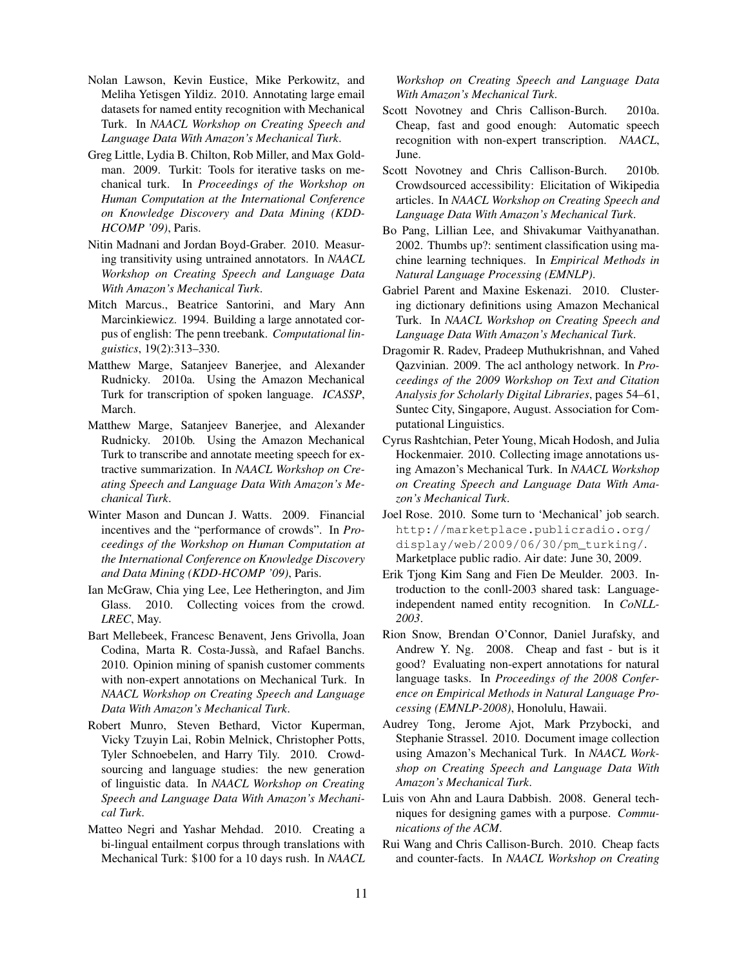- Nolan Lawson, Kevin Eustice, Mike Perkowitz, and Meliha Yetisgen Yildiz. 2010. Annotating large email datasets for named entity recognition with Mechanical Turk. In *NAACL Workshop on Creating Speech and Language Data With Amazon's Mechanical Turk*.
- Greg Little, Lydia B. Chilton, Rob Miller, and Max Goldman. 2009. Turkit: Tools for iterative tasks on mechanical turk. In *Proceedings of the Workshop on Human Computation at the International Conference on Knowledge Discovery and Data Mining (KDD-HCOMP '09)*, Paris.
- Nitin Madnani and Jordan Boyd-Graber. 2010. Measuring transitivity using untrained annotators. In *NAACL Workshop on Creating Speech and Language Data With Amazon's Mechanical Turk*.
- Mitch Marcus., Beatrice Santorini, and Mary Ann Marcinkiewicz. 1994. Building a large annotated corpus of english: The penn treebank. *Computational linguistics*, 19(2):313–330.
- Matthew Marge, Satanjeev Banerjee, and Alexander Rudnicky. 2010a. Using the Amazon Mechanical Turk for transcription of spoken language. *ICASSP*, March.
- Matthew Marge, Satanjeev Banerjee, and Alexander Rudnicky. 2010b. Using the Amazon Mechanical Turk to transcribe and annotate meeting speech for extractive summarization. In *NAACL Workshop on Creating Speech and Language Data With Amazon's Mechanical Turk*.
- Winter Mason and Duncan J. Watts. 2009. Financial incentives and the "performance of crowds". In *Proceedings of the Workshop on Human Computation at the International Conference on Knowledge Discovery and Data Mining (KDD-HCOMP '09)*, Paris.
- Ian McGraw, Chia ying Lee, Lee Hetherington, and Jim Glass. 2010. Collecting voices from the crowd. *LREC*, May.
- Bart Mellebeek, Francesc Benavent, Jens Grivolla, Joan Codina, Marta R. Costa-Jussà, and Rafael Banchs. 2010. Opinion mining of spanish customer comments with non-expert annotations on Mechanical Turk. In *NAACL Workshop on Creating Speech and Language Data With Amazon's Mechanical Turk*.
- Robert Munro, Steven Bethard, Victor Kuperman, Vicky Tzuyin Lai, Robin Melnick, Christopher Potts, Tyler Schnoebelen, and Harry Tily. 2010. Crowdsourcing and language studies: the new generation of linguistic data. In *NAACL Workshop on Creating Speech and Language Data With Amazon's Mechanical Turk*.
- Matteo Negri and Yashar Mehdad. 2010. Creating a bi-lingual entailment corpus through translations with Mechanical Turk: \$100 for a 10 days rush. In *NAACL*

*Workshop on Creating Speech and Language Data With Amazon's Mechanical Turk*.

- Scott Novotney and Chris Callison-Burch. 2010a. Cheap, fast and good enough: Automatic speech recognition with non-expert transcription. *NAACL*, June.
- Scott Novotney and Chris Callison-Burch. 2010b. Crowdsourced accessibility: Elicitation of Wikipedia articles. In *NAACL Workshop on Creating Speech and Language Data With Amazon's Mechanical Turk*.
- Bo Pang, Lillian Lee, and Shivakumar Vaithyanathan. 2002. Thumbs up?: sentiment classification using machine learning techniques. In *Empirical Methods in Natural Language Processing (EMNLP)*.
- Gabriel Parent and Maxine Eskenazi. 2010. Clustering dictionary definitions using Amazon Mechanical Turk. In *NAACL Workshop on Creating Speech and Language Data With Amazon's Mechanical Turk*.
- Dragomir R. Radev, Pradeep Muthukrishnan, and Vahed Qazvinian. 2009. The acl anthology network. In *Proceedings of the 2009 Workshop on Text and Citation Analysis for Scholarly Digital Libraries*, pages 54–61, Suntec City, Singapore, August. Association for Computational Linguistics.
- Cyrus Rashtchian, Peter Young, Micah Hodosh, and Julia Hockenmaier. 2010. Collecting image annotations using Amazon's Mechanical Turk. In *NAACL Workshop on Creating Speech and Language Data With Amazon's Mechanical Turk*.
- Joel Rose. 2010. Some turn to 'Mechanical' job search. http://marketplace.publicradio.org/ display/web/2009/06/30/pm\_turking/. Marketplace public radio. Air date: June 30, 2009.
- Erik Tjong Kim Sang and Fien De Meulder. 2003. Introduction to the conll-2003 shared task: Languageindependent named entity recognition. In *CoNLL-2003*.
- Rion Snow, Brendan O'Connor, Daniel Jurafsky, and Andrew Y. Ng. 2008. Cheap and fast - but is it good? Evaluating non-expert annotations for natural language tasks. In *Proceedings of the 2008 Conference on Empirical Methods in Natural Language Processing (EMNLP-2008)*, Honolulu, Hawaii.
- Audrey Tong, Jerome Ajot, Mark Przybocki, and Stephanie Strassel. 2010. Document image collection using Amazon's Mechanical Turk. In *NAACL Workshop on Creating Speech and Language Data With Amazon's Mechanical Turk*.
- Luis von Ahn and Laura Dabbish. 2008. General techniques for designing games with a purpose. *Communications of the ACM*.
- Rui Wang and Chris Callison-Burch. 2010. Cheap facts and counter-facts. In *NAACL Workshop on Creating*